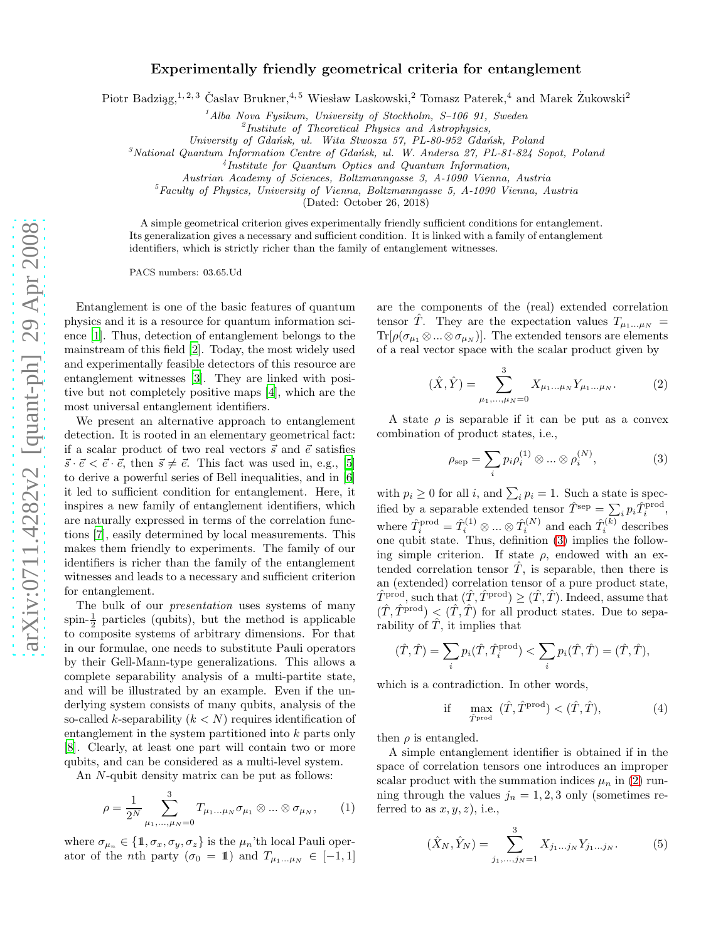## Experimentally friendly geometrical criteria for entanglement

Piotr Badziąg,<sup>1, 2, 3</sup> Časlav Brukner, <sup>4, 5</sup> Wiesław Laskowski, <sup>2</sup> Tomasz Paterek, <sup>4</sup> and Marek Żukowski<sup>2</sup>

<sup>1</sup>*Alba Nova Fysikum, University of Stockholm, S–106 91, Sweden*

2 *Institute of Theoretical Physics and Astrophysics,*

*University of Gda´nsk, ul. Wita Stwosza 57, PL-80-952 Gda´nsk, Poland*

<sup>3</sup>*National Quantum Information Centre of Gda´nsk, ul. W. Andersa 27, PL-81-824 Sopot, Poland*

4 *Institute for Quantum Optics and Quantum Information,*

*Austrian Academy of Sciences, Boltzmanngasse 3, A-1090 Vienna, Austria*

<sup>5</sup>*Faculty of Physics, University of Vienna, Boltzmanngasse 5, A-1090 Vienna, Austria*

(Dated: October 26, 2018)

A simple geometrical criterion gives experimentally friendly sufficient conditions for entanglement. Its generalization gives a necessary and sufficient condition. It is linked with a family of entanglement identifiers, which is strictly richer than the family of entanglement witnesses.

PACS numbers: 03.65.Ud

Entanglement is one of the basic features of quantum physics and it is a resource for quantum information science [\[1\]](#page-3-0). Thus, detection of entanglement belongs to the mainstream of this field [\[2\]](#page-3-1). Today, the most widely used and experimentally feasible detectors of this resource are entanglement witnesses [\[3](#page-3-2)]. They are linked with positive but not completely positive maps [\[4\]](#page-3-3), which are the most universal entanglement identifiers.

We present an alternative approach to entanglement detection. It is rooted in an elementary geometrical fact: if a scalar product of two real vectors  $\vec{s}$  and  $\vec{e}$  satisfies  $\vec{s} \cdot \vec{e} < \vec{e} \cdot \vec{e}$ , then  $\vec{s} \neq \vec{e}$ . This fact was used in, e.g., [\[5](#page-3-4)] to derive a powerful series of Bell inequalities, and in [\[6](#page-3-5)] it led to sufficient condition for entanglement. Here, it inspires a new family of entanglement identifiers, which are naturally expressed in terms of the correlation functions [\[7](#page-3-6)], easily determined by local measurements. This makes them friendly to experiments. The family of our identifiers is richer than the family of the entanglement witnesses and leads to a necessary and sufficient criterion for entanglement.

The bulk of our *presentation* uses systems of many spin- $\frac{1}{2}$  particles (qubits), but the method is applicable to composite systems of arbitrary dimensions. For that in our formulae, one needs to substitute Pauli operators by their Gell-Mann-type generalizations. This allows a complete separability analysis of a multi-partite state, and will be illustrated by an example. Even if the underlying system consists of many qubits, analysis of the so-called k-separability  $(k < N)$  requires identification of entanglement in the system partitioned into k parts only [\[8\]](#page-3-7). Clearly, at least one part will contain two or more qubits, and can be considered as a multi-level system.

An N-qubit density matrix can be put as follows:

$$
\rho = \frac{1}{2^N} \sum_{\mu_1, ..., \mu_N = 0}^3 T_{\mu_1 ... \mu_N} \sigma_{\mu_1} \otimes ... \otimes \sigma_{\mu_N}, \qquad (1)
$$

where  $\sigma_{\mu_n} \in \{1, \sigma_x, \sigma_y, \sigma_z\}$  is the  $\mu_n$ 'th local Pauli operator of the *n*th party ( $\sigma_0 = 1$ ) and  $T_{\mu_1...\mu_N} \in [-1,1]$  are the components of the (real) extended correlation tensor T<sup> $\hat{T}$ </sup>. They are the expectation values  $T_{\mu_1...\mu_N}$  =  $\text{Tr}[\rho(\sigma_{\mu_1} \otimes ... \otimes \sigma_{\mu_N})]$ . The extended tensors are elements of a real vector space with the scalar product given by

<span id="page-0-1"></span>
$$
(\hat{X}, \hat{Y}) = \sum_{\mu_1, \dots, \mu_N = 0}^{3} X_{\mu_1 \dots \mu_N} Y_{\mu_1 \dots \mu_N}.
$$
 (2)

A state  $\rho$  is separable if it can be put as a convex combination of product states, i.e.,

<span id="page-0-0"></span>
$$
\rho_{\text{sep}} = \sum_{i} p_i \rho_i^{(1)} \otimes \dots \otimes \rho_i^{(N)},\tag{3}
$$

with  $p_i \geq 0$  for all i, and  $\sum_i p_i = 1$ . Such a state is specified by a separable extended tensor  $\hat{T}^{\text{sep}} = \sum_i p_i \hat{T}_i^{\text{prod}}$ , where  $\hat{T}_i^{\text{prod}} = \hat{T}_i^{(1)} \otimes ... \otimes \hat{T}_i^{(N)}$  and each  $\hat{T}_i^{(k)}$  describes one qubit state. Thus, definition [\(3\)](#page-0-0) implies the following simple criterion. If state  $\rho$ , endowed with an extended correlation tensor  $\hat{T}$ , is separable, then there is an (extended) correlation tensor of a pure product state,  $\hat{T}^{\text{prod}}$ , such that  $(\hat{T}, \hat{T}^{\text{prod}}) \geq (\hat{T}, \hat{T})$ . Indeed, assume that  $(T, T^{\text{prod}}) < (T, T)$  for all product states. Due to separability of  $\hat{T}$ , it implies that

$$
(\hat{T}, \hat{T}) = \sum_i p_i(\hat{T}, \hat{T}_i^{\text{prod}}) < \sum_i p_i(\hat{T}, \hat{T}) = (\hat{T}, \hat{T}),
$$

which is a contradiction. In other words,

<span id="page-0-2"></span>if 
$$
\max_{\hat{T} \text{prod}} (\hat{T}, \hat{T}^{\text{prod}}) < (\hat{T}, \hat{T}),
$$
 (4)

then  $\rho$  is entangled.

A simple entanglement identifier is obtained if in the space of correlation tensors one introduces an improper scalar product with the summation indices  $\mu_n$  in [\(2\)](#page-0-1) running through the values  $j_n = 1, 2, 3$  only (sometimes referred to as  $x, y, z$ , i.e.,

$$
(\hat{X}_N, \hat{Y}_N) = \sum_{j_1, \dots, j_N = 1}^{3} X_{j_1 \dots j_N} Y_{j_1 \dots j_N}.
$$
 (5)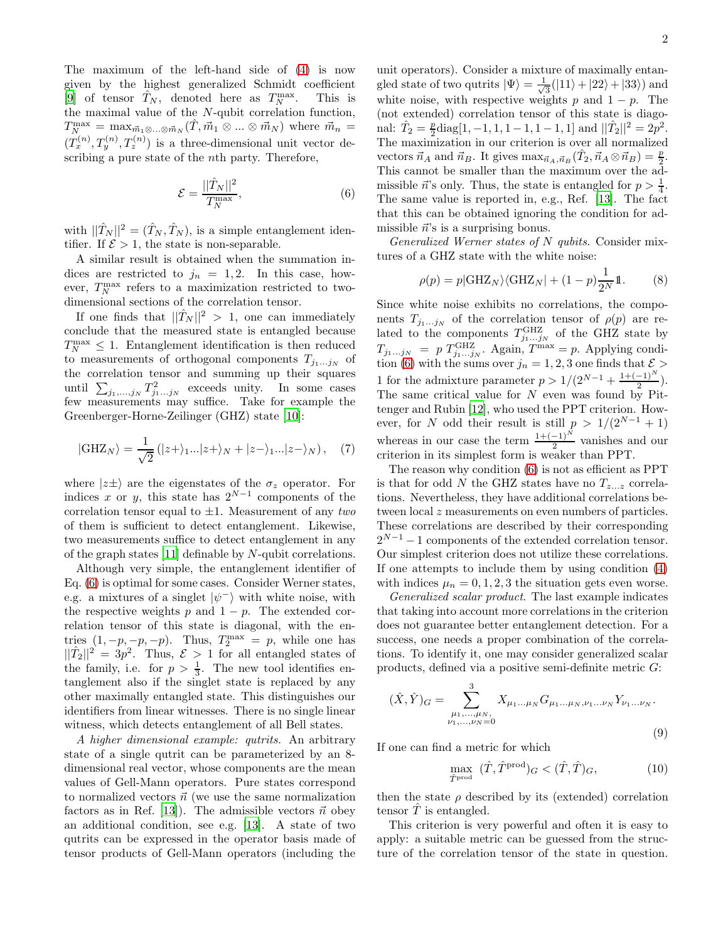The maximum of the left-hand side of [\(4\)](#page-0-2) is now given by the highest generalized Schmidt coefficient [\[9\]](#page-3-8) of tensor  $\hat{T}_N$ , denoted here as  $T_N^{\max}$ . This is the maximal value of the N-qubit correlation function,  $T_{N}^{\max} = \max_{\vec{m}_1 \otimes \ldots \otimes \vec{m}_N} (\hat{T}, \vec{m}_1 \otimes \ldots \otimes \vec{m}_N)$  where  $\vec{m}_n =$  $(T_x^{(n)}, T_y^{(n)}, T_z^{(n)})$  is a three-dimensional unit vector describing a pure state of the nth party. Therefore,

<span id="page-1-0"></span>
$$
\mathcal{E} = \frac{||\hat{T}_N||^2}{T_N^{\max}},\tag{6}
$$

with  $||\hat{T}_N||^2 = (\hat{T}_N, \hat{T}_N)$ , is a simple entanglement identifier. If  $\mathcal{E} > 1$ , the state is non-separable.

A similar result is obtained when the summation indices are restricted to  $j_n = 1, 2$ . In this case, however,  $T_N^{\max}$  refers to a maximization restricted to twodimensional sections of the correlation tensor.

If one finds that  $||\hat{T}_N||^2 > 1$ , one can immediately conclude that the measured state is entangled because  $T_N^{\max} \leq 1$ . Entanglement identification is then reduced to measurements of orthogonal components  $T_{j_1...j_N}$  of the correlation tensor and summing up their squares until  $\sum_{j_1,\dots,j_N} T_{j_1\dots j_N}^2$  exceeds unity. In some cases few measurements may suffice. Take for example the Greenberger-Horne-Zeilinger (GHZ) state [\[10\]](#page-3-9):

$$
|\text{GHZ}_N\rangle = \frac{1}{\sqrt{2}} (|z+\rangle_{1}...|z+\rangle_N + |z-\rangle_{1}...|z-\rangle_N), \quad (7)
$$

where  $|z\pm\rangle$  are the eigenstates of the  $\sigma_z$  operator. For indices x or y, this state has  $2^{N-1}$  components of the correlation tensor equal to ±1. Measurement of any *two* of them is sufficient to detect entanglement. Likewise, two measurements suffice to detect entanglement in any of the graph states [\[11\]](#page-3-10) definable by N-qubit correlations.

Although very simple, the entanglement identifier of Eq. [\(6\)](#page-1-0) is optimal for some cases. Consider Werner states, e.g. a mixtures of a singlet  $|\psi^{-}\rangle$  with white noise, with the respective weights p and  $1 - p$ . The extended correlation tensor of this state is diagonal, with the entries  $(1, -p, -p, -p)$ . Thus,  $T_2^{\text{max}} = p$ , while one has  $||\hat{T}_2||^2 = 3p^2$ . Thus,  $\mathcal{E} > 1$  for all entangled states of the family, i.e. for  $p > \frac{1}{3}$ . The new tool identifies entanglement also if the singlet state is replaced by any other maximally entangled state. This distinguishes our identifiers from linear witnesses. There is no single linear witness, which detects entanglement of all Bell states.

*A higher dimensional example: qutrits.* An arbitrary state of a single qutrit can be parameterized by an 8 dimensional real vector, whose components are the mean values of Gell-Mann operators. Pure states correspond to normalized vectors  $\vec{n}$  (we use the same normalization factors as in Ref. [\[13](#page-3-11)]). The admissible vectors  $\vec{n}$  obey an additional condition, see e.g. [\[13](#page-3-11)]. A state of two qutrits can be expressed in the operator basis made of tensor products of Gell-Mann operators (including the unit operators). Consider a mixture of maximally entangled state of two qutrits  $|\Psi\rangle = \frac{1}{\sqrt{2}}$  $\frac{1}{3}(|11\rangle + |22\rangle + |33\rangle)$  and white noise, with respective weights p and  $1 - p$ . The (not extended) correlation tensor of this state is diagonal:  $\hat{T}_2 = \frac{p}{2}$  $\frac{p}{2}$ diag[1, -1, 1, 1 - 1, 1 - 1, 1] and  $||\hat{T}_2||^2 = 2p^2$ . The maximization in our criterion is over all normalized vectors  $\vec{n}_A$  and  $\vec{n}_B$ . It gives  $\max_{\vec{n}_A,\vec{n}_B} (\hat{T}_2, \vec{n}_A \otimes \vec{n}_B) = \frac{p}{2}$ . This cannot be smaller than the maximum over the admissible  $\vec{n}$ 's only. Thus, the state is entangled for  $p > \frac{1}{4}$ . The same value is reported in, e.g., Ref. [\[13\]](#page-3-11). The fact that this can be obtained ignoring the condition for admissible  $\vec{n}$ 's is a surprising bonus.

*Generalized Werner states of* N *qubits.* Consider mixtures of a GHZ state with the white noise:

$$
\rho(p) = p|\text{GHZ}_N\rangle\langle\text{GHZ}_N| + (1-p)\frac{1}{2^N}\mathbb{1}.
$$
 (8)

Since white noise exhibits no correlations, the components  $T_{j_1...j_N}$  of the correlation tensor of  $\rho(p)$  are related to the components  $T_{j_1...j_N}^{\text{GHZ}}$  of the GHZ state by  $T_{j_1...j_N}$  = p  $T_{j_1...j_N}^{\text{GHZ}}$ . Again,  $T^{\max}$  = p. Applying condi-tion [\(6\)](#page-1-0) with the sums over  $j_n = 1, 2, 3$  one finds that  $\mathcal{E} >$ 1 for the admixture parameter  $p > 1/(2^{N-1} + \frac{1+(-1)^N}{2})$ . The same critical value for  $N$  even was found by Pittenger and Rubin [\[12\]](#page-3-12), who used the PPT criterion. However, for N odd their result is still  $p > 1/(2^{N-1} + 1)$ whereas in our case the term  $\frac{1+(-1)^N}{2}$  vanishes and our criterion in its simplest form is weaker than PPT.

The reason why condition [\(6\)](#page-1-0) is not as efficient as PPT is that for odd N the GHZ states have no  $T_{z...z}$  correlations. Nevertheless, they have additional correlations between local z measurements on even numbers of particles. These correlations are described by their corresponding  $2^{N-1} - 1$  components of the extended correlation tensor. Our simplest criterion does not utilize these correlations. If one attempts to include them by using condition [\(4\)](#page-0-2) with indices  $\mu_n = 0, 1, 2, 3$  the situation gets even worse.

*Generalized scalar product*. The last example indicates that taking into account more correlations in the criterion does not guarantee better entanglement detection. For a success, one needs a proper combination of the correlations. To identify it, one may consider generalized scalar products, defined via a positive semi-definite metric G:

$$
(\hat{X}, \hat{Y})_G = \sum_{\substack{\mu_1, \dots, \mu_N, \\ \nu_1, \dots, \nu_N = 0}}^3 X_{\mu_1 \dots \mu_N} G_{\mu_1 \dots \mu_N, \nu_1 \dots \nu_N} Y_{\nu_1 \dots \nu_N}.
$$
\n(9)

If one can find a metric for which

<span id="page-1-1"></span>
$$
\max_{\hat{T}^{\text{prod}}} \ (\hat{T}, \hat{T}^{\text{prod}})_G < (\hat{T}, \hat{T})_G,\tag{10}
$$

then the state  $\rho$  described by its (extended) correlation tensor  $\hat{T}$  is entangled.

This criterion is very powerful and often it is easy to apply: a suitable metric can be guessed from the structure of the correlation tensor of the state in question.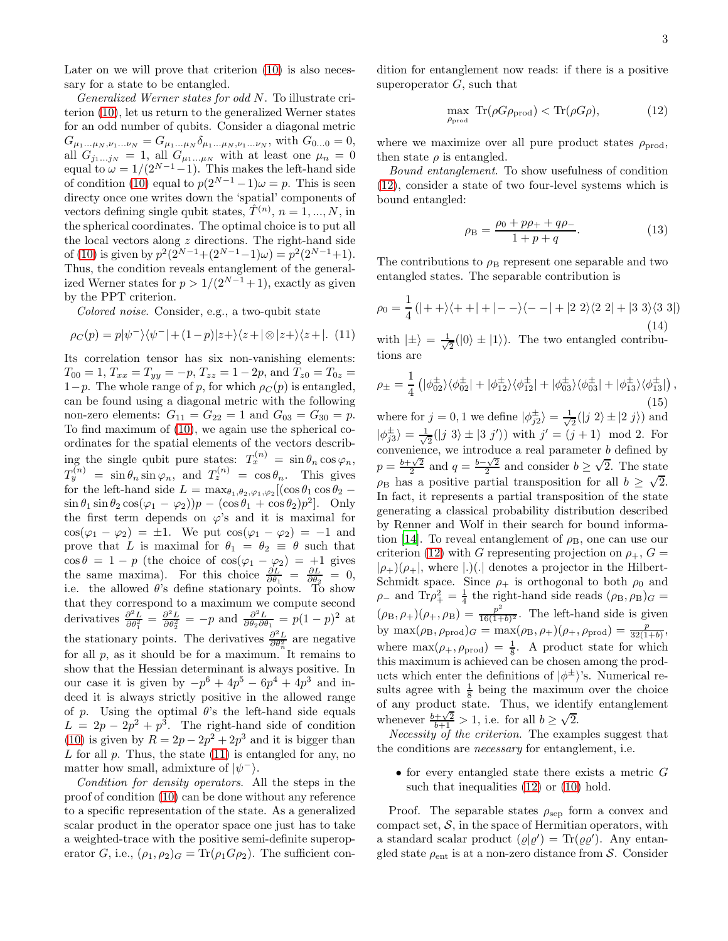Later on we will prove that criterion [\(10\)](#page-1-1) is also necessary for a state to be entangled.

*Generalized Werner states for odd* N. To illustrate criterion [\(10\)](#page-1-1), let us return to the generalized Werner states for an odd number of qubits. Consider a diagonal metric  $G_{\mu_1...\mu_N,\nu_1...\nu_N} = G_{\mu_1...\mu_N}\delta_{\mu_1...\mu_N,\nu_1...\nu_N}$ , with  $G_{0...0} = 0$ , all  $G_{j_1...j_N} = 1$ , all  $G_{\mu_1...\mu_N}$  with at least one  $\mu_n = 0$ equal to  $\omega = 1/(2^{N-1}-1)$ . This makes the left-hand side of condition [\(10\)](#page-1-1) equal to  $p(2^{N-1}-1)\omega = p$ . This is seen directy once one writes down the 'spatial' components of vectors defining single qubit states,  $\hat{T}^{(n)}$ ,  $n = 1, ..., N$ , in the spherical coordinates. The optimal choice is to put all the local vectors along  $z$  directions. The right-hand side of [\(10\)](#page-1-1) is given by  $p^2(2^{N-1}+(2^{N-1}-1)\omega) = p^2(2^{N-1}+1)$ . Thus, the condition reveals entanglement of the generalized Werner states for  $p > 1/(2^{N-1}+1)$ , exactly as given by the PPT criterion.

*Colored noise*. Consider, e.g., a two-qubit state

<span id="page-2-0"></span>
$$
\rho_C(p) = p|\psi^{-}\rangle\langle\psi^{-}| + (1-p)|z+\rangle\langle z+|\otimes|z+\rangle\langle z+|.
$$
 (11)

Its correlation tensor has six non-vanishing elements:  $T_{00} = 1, T_{xx} = T_{yy} = -p, T_{zz} = 1 - 2p, \text{ and } T_{z0} = T_{0z}$ 1−p. The whole range of p, for which  $\rho_C(p)$  is entangled, can be found using a diagonal metric with the following non-zero elements:  $G_{11} = G_{22} = 1$  and  $G_{03} = G_{30} = p$ . To find maximum of [\(10\)](#page-1-1), we again use the spherical coordinates for the spatial elements of the vectors describing the single qubit pure states:  $T_x^{(n)} = \sin \theta_n \cos \varphi_n$ ,  $T_y^{(n)} = \sin \theta_n \sin \varphi_n$ , and  $T_z^{(n)} = \cos \theta_n$ . This gives for the left-hand side  $L = \max_{\theta_1, \theta_2, \varphi_1, \varphi_2} [(\cos \theta_1 \cos \theta_2 \sin \theta_1 \sin \theta_2 \cos(\varphi_1 - \varphi_2))p - (\cos \theta_1 + \cos \theta_2)p^2$ . Only the first term depends on  $\varphi$ 's and it is maximal for  $\cos(\varphi_1 - \varphi_2) = \pm 1$ . We put  $\cos(\varphi_1 - \varphi_2) = -1$  and prove that L is maximal for  $\theta_1 = \theta_2 \equiv \theta$  such that  $\cos \theta = 1 - p$  (the choice of  $\cos(\varphi_1 - \varphi_2) = +1$  gives the same maxima). For this choice  $\frac{\partial L}{\partial \theta_1} = \frac{\partial L}{\partial \theta_2} = 0$ , i.e. the allowed  $\theta$ 's define stationary points. To show that they correspond to a maximum we compute second derivatives  $\frac{\partial^2 L}{\partial \theta_1^2} = \frac{\partial^2 L}{\partial \theta_2^2} = -p$  and  $\frac{\partial^2 L}{\partial \theta_2 \partial \theta_1} = p(1-p)^2$  at the stationary points. The derivatives  $\frac{\partial^2 L}{\partial \theta_n^2}$  are negative for all  $p$ , as it should be for a maximum. It remains to show that the Hessian determinant is always positive. In our case it is given by  $-p^6 + 4p^5 - 6p^4 + 4p^3$  and indeed it is always strictly positive in the allowed range of p. Using the optimal  $\theta$ 's the left-hand side equals  $L = 2p - 2p^2 + p^3$ . The right-hand side of condition [\(10\)](#page-1-1) is given by  $R = 2p - 2p^2 + 2p^3$  and it is bigger than L for all  $p$ . Thus, the state  $(11)$  is entangled for any, no matter how small, admixture of  $|\psi^{-}\rangle$ .

*Condition for density operators*. All the steps in the proof of condition [\(10\)](#page-1-1) can be done without any reference to a specific representation of the state. As a generalized scalar product in the operator space one just has to take a weighted-trace with the positive semi-definite superoperator G, i.e.,  $(\rho_1, \rho_2)_G = \text{Tr}(\rho_1 G \rho_2)$ . The sufficient condition for entanglement now reads: if there is a positive superoperator  $G$ , such that

<span id="page-2-1"></span>
$$
\max_{\rho_{\text{prod}}} \text{Tr}(\rho G \rho_{\text{prod}}) < \text{Tr}(\rho G \rho),\tag{12}
$$

where we maximize over all pure product states  $\rho_{\text{prod}}$ , then state  $\rho$  is entangled.

*Bound entanglement*. To show usefulness of condition [\(12\)](#page-2-1), consider a state of two four-level systems which is bound entangled:

$$
\rho_{\rm B} = \frac{\rho_0 + p\rho_+ + q\rho_-}{1 + p + q}.\tag{13}
$$

The contributions to  $\rho_B$  represent one separable and two entangled states. The separable contribution is

$$
\rho_0 = \frac{1}{4} (|++\rangle\langle++|+|--\rangle\langle--|+|2\ 2\rangle\langle2\ 2|+|3\ 3\rangle\langle3\ 3|)
$$
\n(14)

with  $|\pm\rangle = \frac{1}{\sqrt{2}}$  $\frac{1}{2}(|0\rangle \pm |1\rangle)$ . The two entangled contributions are

$$
\rho_{\pm} = \frac{1}{4} \left( |\phi_{02}^{\pm}\rangle\langle\phi_{02}^{\pm}| + |\phi_{12}^{\pm}\rangle\langle\phi_{12}^{\pm}| + |\phi_{03}^{\pm}\rangle\langle\phi_{03}^{\pm}| + |\phi_{13}^{\pm}\rangle\langle\phi_{13}^{\pm}| \right),
$$
\n(15)

where for  $j = 0, 1$  we define  $|\phi_{j2}^{\pm}\rangle = \frac{1}{\sqrt{2}}$  $\frac{1}{2}(|j 2\rangle \pm |2 j\rangle)$  and  $|\phi_{j3}^{\pm}\rangle=\frac{1}{\sqrt{2}}$  $\frac{1}{2}(|j\;3\rangle \pm |3\;j'\rangle)$  with  $j' = (j+1) \mod 2$ . For convenience, we introduce a real parameter  $b$  defined by  $p = \frac{b + \sqrt{2}}{2}$  and  $q = \frac{b - \sqrt{2}}{2}$  and consider  $b \ge \sqrt{2}$ . The state  $\rho_B$  has a positive partial transposition for all  $b \geq \sqrt{2}$ . In fact, it represents a partial transposition of the state generating a classical probability distribution described by Renner and Wolf in their search for bound informa-tion [\[14](#page-3-13)]. To reveal entanglement of  $\rho_{\rm B}$ , one can use our criterion [\(12\)](#page-2-1) with G representing projection on  $\rho_+$ ,  $G =$  $|\rho_{+}\rangle(\rho_{+}|,$  where  $|.|$ . denotes a projector in the Hilbert-Schmidt space. Since  $\rho_+$  is orthogonal to both  $\rho_0$  and  $\rho_-$  and Tr $\rho_+^2 = \frac{1}{4}$  the right-hand side reads  $(\rho_B, \rho_B)_G =$  $(\rho_{\rm B}, \rho_+)(\rho_+, \rho_{\rm B}) = \frac{p^2}{16(1+p^2)}$  $\frac{p}{16(1+b)^2}$ . The left-hand side is given by  $\max(\rho_B, \rho_{\text{prod}})_G = \max(\rho_B, \rho_+) (\rho_+, \rho_{\text{prod}}) = \frac{p}{32(1+b)},$ where  $\max(\rho_+,\rho_{\text{prod}}) = \frac{1}{8}$ . A product state for which this maximum is achieved can be chosen among the products which enter the definitions of  $|\phi^{\pm}\rangle$ 's. Numerical results agree with  $\frac{1}{8}$  being the maximum over the choice of any product state. Thus, we identify entanglement whenever  $\frac{b+\sqrt{2}}{b+1} > 1$ , i.e. for all  $b \ge \sqrt{2}$ .

*Necessity of the criterion*. The examples suggest that the conditions are *necessary* for entanglement, i.e.

 $\bullet$  for every entangled state there exists a metric  $G$ such that inequalities  $(12)$  or  $(10)$  hold.

Proof. The separable states  $\rho_{\rm sep}$  form a convex and compact set,  $S$ , in the space of Hermitian operators, with a standard scalar product  $(\varrho|\varrho') = \text{Tr}(\varrho\varrho')$ . Any entangled state  $\rho_{ent}$  is at a non-zero distance from S. Consider